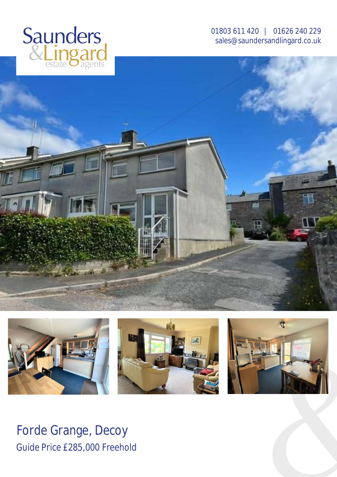

01803 611 420 | 01626 240 229 [sales@saundersandlingard.co.uk](mailto:sales@saundersandlingard.co.uk)





Forde Grange, Decoy Guide Price £285,000 Freehold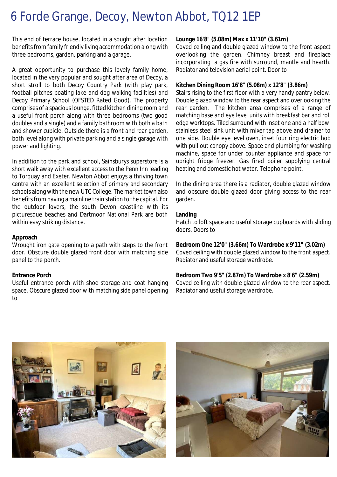# 6 Forde Grange, Decoy, Newton Abbot, TQ12 1EP

This end of terrace house, located in a sought after location benefits from family friendly living accommodation along with three bedrooms, garden, parking and a garage.

A great opportunity to purchase this lovely family home, located in the very popular and sought after area of Decoy, a short stroll to both Decoy Country Park (with play park, football pitches boating lake and dog walking facilities) and Decoy Primary School (OFSTED Rated Good). The property comprises of a spacious lounge, fitted kitchen dining room and a useful front porch along with three bedrooms (two good doubles and a single) and a family bathroom with both a bath and shower cubicle. Outside there is a front and rear garden, both level along with private parking and a single garage with power and lighting.

In addition to the park and school, Sainsburys superstore is a short walk away with excellent access to the Penn Inn leading to Torquay and Exeter. Newton Abbot enjoys a thriving town centre with an excellent selection of primary and secondary schools along with the new UTC College. The market town also benefits from having a mainline train station to the capital. For the outdoor lovers, the south Devon coastline with its picturesque beaches and Dartmoor National Park are both within easy striking distance.

#### **Approach**

Wrought iron gate opening to a path with steps to the front door. Obscure double glazed front door with matching side panel to the porch.

#### **Entrance Porch**

Useful entrance porch with shoe storage and coat hanging space. Obscure glazed door with matching side panel opening to

## **Lounge 16'8" (5.08m) Max x 11'10" (3.61m)**

Coved ceiling and double glazed window to the front aspect overlooking the garden. Chimney breast and fireplace incorporating a gas fire with surround, mantle and hearth. Radiator and television aerial point. Door to

#### **Kitchen Dining Room 16'8" (5.08m) x 12'8" (3.86m)**

Stairs rising to the first floor with a very handy pantry below. Double glazed window to the rear aspect and overlooking the rear garden. The kitchen area comprises of a range of matching base and eye level units with breakfast bar and roll edge worktops. Tiled surround with inset one and a half bowl stainless steel sink unit with mixer tap above and drainer to one side. Double eye level oven, inset four ring electric hob with pull out canopy above. Space and plumbing for washing machine, space for under counter appliance and space for upright fridge freezer. Gas fired boiler supplying central heating and domestic hot water. Telephone point.

In the dining area there is a radiator, double glazed window and obscure double glazed door giving access to the rear garden.

### **Landing**

Hatch to loft space and useful storage cupboards with sliding doors. Doors to

## **Bedroom One 12'0" (3.66m) To Wardrobe x 9'11" (3.02m)**

Coved ceiling with double glazed window to the front aspect. Radiator and useful storage wardrobe.

#### **Bedroom Two 9'5" (2.87m) To Wardrobe x 8'6" (2.59m)**

Coved ceiling with double glazed window to the rear aspect. Radiator and useful storage wardrobe.



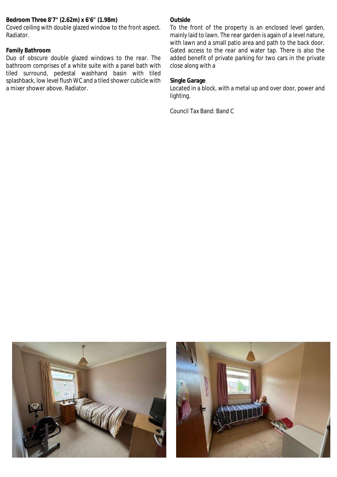# **Bedroom Three 8'7" (2.62m) x 6'6" (1.98m)**

Coved ceiling with double glazed window to the front aspect. Radiator.

# **Family Bathroom**

Duo of obscure double glazed windows to the rear. The bathroom comprises of a white suite with a panel bath with tiled surround, pedestal washhand basin with tiled splashback, low level flush WC and a tiled shower cubicle with a mixer shower above. Radiator.

# **Outside**

To the front of the property is an enclosed level garden, mainly laid to lawn. The rear garden is again of a level nature, with lawn and a small patio area and path to the back door. Gated access to the rear and water tap. There is also the added benefit of private parking for two cars in the private close along with a

# **Single Garage**

Located in a block, with a metal up and over door, power and lighting.

Council Tax Band: Band C